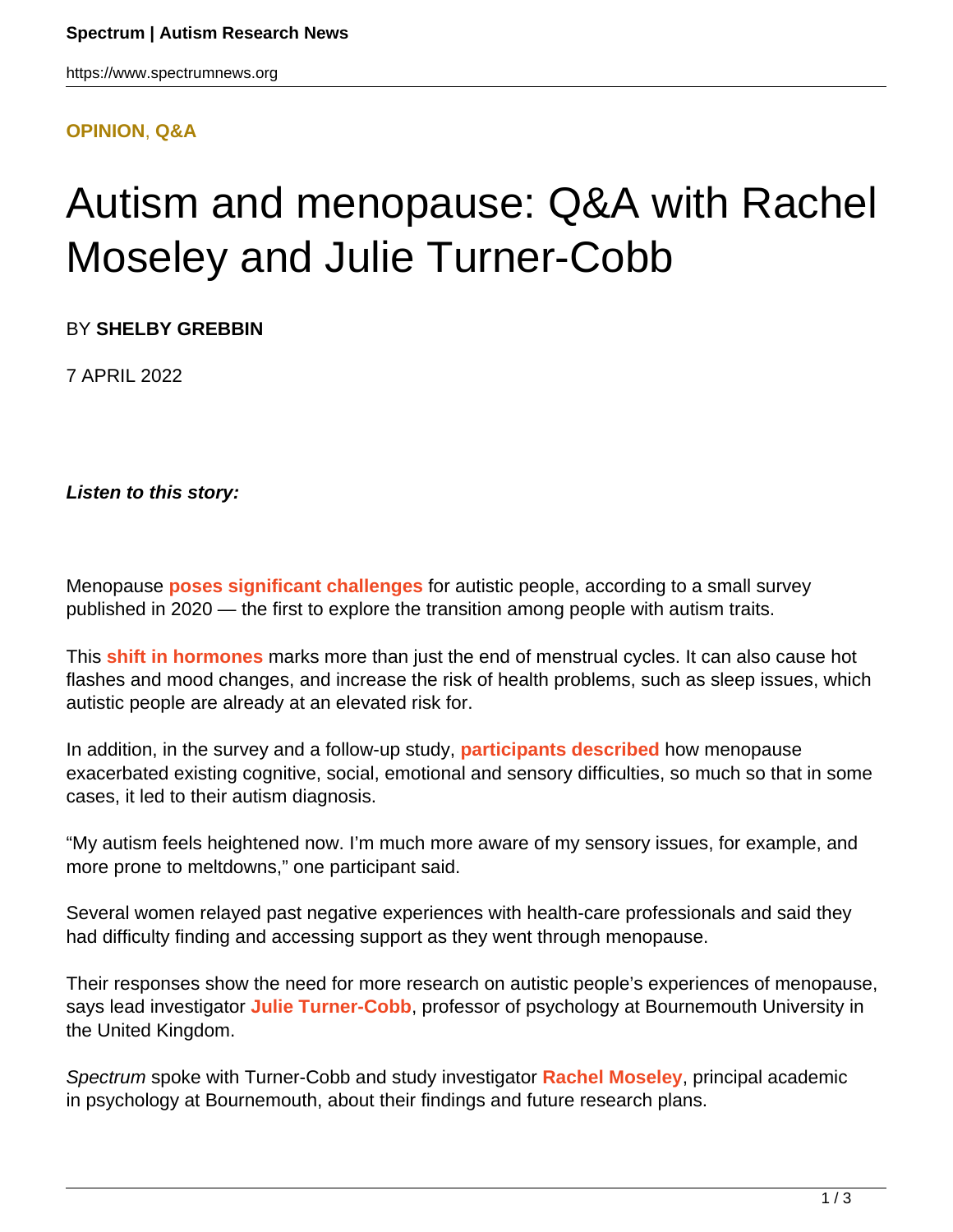#### **[OPINION](HTTPS://WWW.SPECTRUMNEWS.ORG/OPINION/)**, **[Q&A](HTTPS://WWW.SPECTRUMNEWS.ORG/OPINION/Q-AND-A/)**

# Autism and menopause: Q&A with Rachel Moseley and Julie Turner-Cobb

BY **SHELBY GREBBIN**

7 APRIL 2022

**Listen to this story:**

Menopause **[poses significant challenges](https://doi.org/10.1177%2F1362361319901184)** for autistic people, according to a small survey published in 2020 — the first to explore the transition among people with autism traits.

This **[shift in hormones](https://medlineplus.gov/menopause.html)** marks more than just the end of menstrual cycles. It can also cause hot flashes and mood changes, and increase the risk of health problems, such as sleep issues, which autistic people are already at an elevated risk for.

In addition, in the survey and a follow-up study, **[participants described](https://doi.org/10.1111/bjhp.12477)** how menopause exacerbated existing cognitive, social, emotional and sensory difficulties, so much so that in some cases, it led to their autism diagnosis.

"My autism feels heightened now. I'm much more aware of my sensory issues, for example, and more prone to meltdowns," one participant said.

Several women relayed past negative experiences with health-care professionals and said they had difficulty finding and accessing support as they went through menopause.

Their responses show the need for more research on autistic people's experiences of menopause, says lead investigator **[Julie Turner-Cobb](https://staffprofiles.bournemouth.ac.uk/display/jturnercobb)**, professor of psychology at Bournemouth University in the United Kingdom.

Spectrum spoke with Turner-Cobb and study investigator **[Rachel Moseley](https://www.spectrumnews.org/author/rachelmoseley/%22%20HYPERLINK%20%22https://staffprofiles.bournemouth.ac.uk/display/rmoseley)**, principal academic in psychology at Bournemouth, about their findings and future research plans.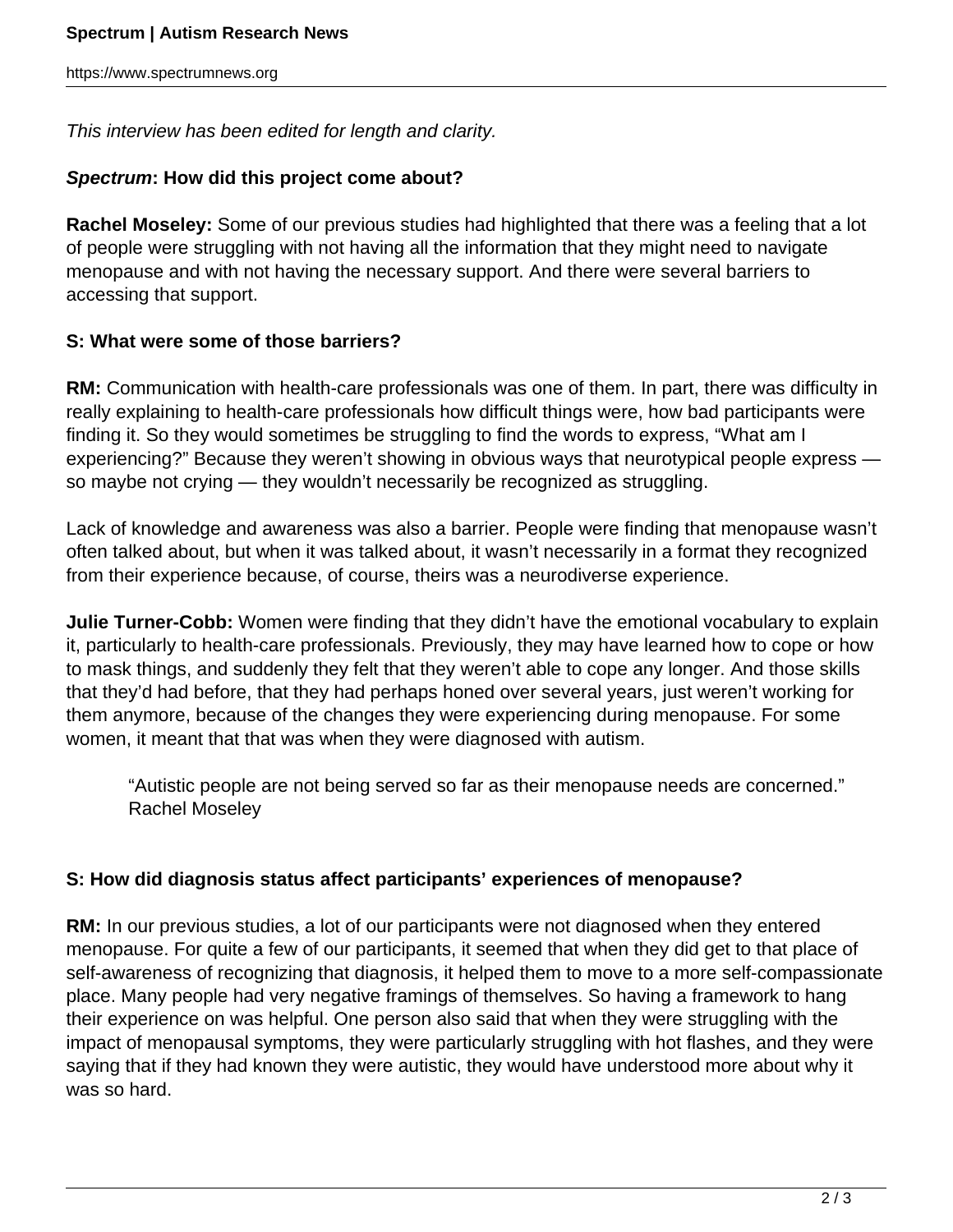This interview has been edited for length and clarity.

## **Spectrum: How did this project come about?**

**Rachel Moseley:** Some of our previous studies had highlighted that there was a feeling that a lot of people were struggling with not having all the information that they might need to navigate menopause and with not having the necessary support. And there were several barriers to accessing that support.

## **S: What were some of those barriers?**

**RM:** Communication with health-care professionals was one of them. In part, there was difficulty in really explaining to health-care professionals how difficult things were, how bad participants were finding it. So they would sometimes be struggling to find the words to express, "What am I experiencing?" Because they weren't showing in obvious ways that neurotypical people express so maybe not crying — they wouldn't necessarily be recognized as struggling.

Lack of knowledge and awareness was also a barrier. People were finding that menopause wasn't often talked about, but when it was talked about, it wasn't necessarily in a format they recognized from their experience because, of course, theirs was a neurodiverse experience.

**Julie Turner-Cobb:** Women were finding that they didn't have the emotional vocabulary to explain it, particularly to health-care professionals. Previously, they may have learned how to cope or how to mask things, and suddenly they felt that they weren't able to cope any longer. And those skills that they'd had before, that they had perhaps honed over several years, just weren't working for them anymore, because of the changes they were experiencing during menopause. For some women, it meant that that was when they were diagnosed with autism.

"Autistic people are not being served so far as their menopause needs are concerned." Rachel Moseley

## **S: How did diagnosis status affect participants' experiences of menopause?**

**RM:** In our previous studies, a lot of our participants were not diagnosed when they entered menopause. For quite a few of our participants, it seemed that when they did get to that place of self-awareness of recognizing that diagnosis, it helped them to move to a more self-compassionate place. Many people had very negative framings of themselves. So having a framework to hang their experience on was helpful. One person also said that when they were struggling with the impact of menopausal symptoms, they were particularly struggling with hot flashes, and they were saying that if they had known they were autistic, they would have understood more about why it was so hard.